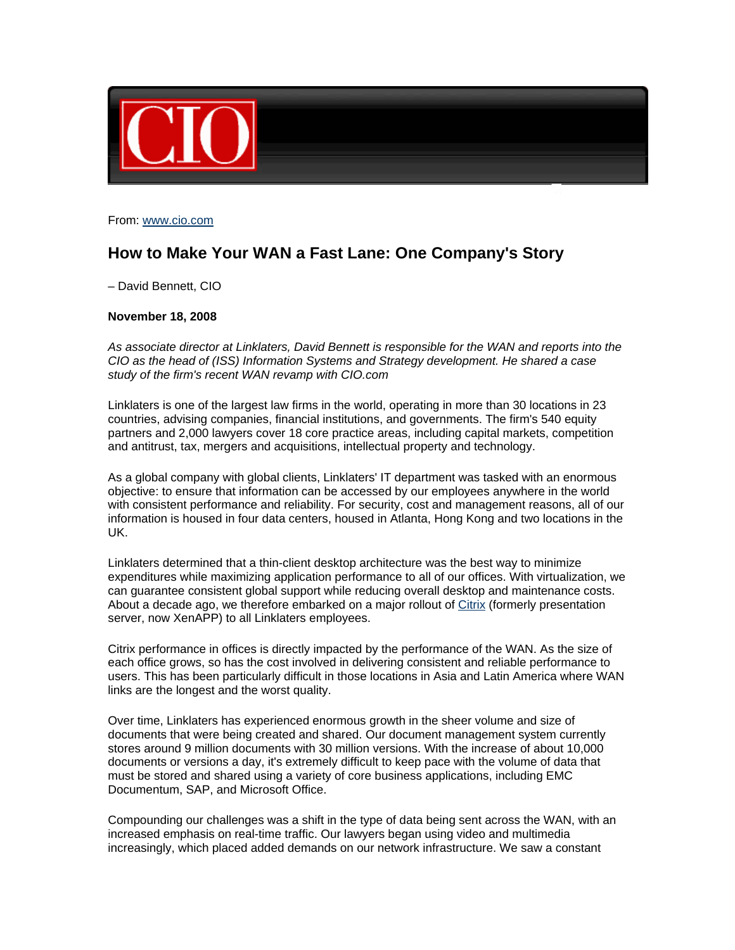

From: www.cio.com

## **How to Make Your WAN a Fast Lane: One Company's Story**

– David Bennett, CIO

## **November 18, 2008**

*As associate director at Linklaters, David Bennett is responsible for the WAN and reports into the CIO as the head of (ISS) Information Systems and Strategy development. He shared a case study of the firm's recent WAN revamp with CIO.com*

Linklaters is one of the largest law firms in the world, operating in more than 30 locations in 23 countries, advising companies, financial institutions, and governments. The firm's 540 equity partners and 2,000 lawyers cover 18 core practice areas, including capital markets, competition and antitrust, tax, mergers and acquisitions, intellectual property and technology.

As a global company with global clients, Linklaters' IT department was tasked with an enormous objective: to ensure that information can be accessed by our employees anywhere in the world with consistent performance and reliability. For security, cost and management reasons, all of our information is housed in four data centers, housed in Atlanta, Hong Kong and two locations in the UK.

Linklaters determined that a thin-client desktop architecture was the best way to minimize expenditures while maximizing application performance to all of our offices. With virtualization, we can guarantee consistent global support while reducing overall desktop and maintenance costs. About a decade ago, we therefore embarked on a major rollout of Citrix (formerly presentation server, now XenAPP) to all Linklaters employees.

Citrix performance in offices is directly impacted by the performance of the WAN. As the size of each office grows, so has the cost involved in delivering consistent and reliable performance to users. This has been particularly difficult in those locations in Asia and Latin America where WAN links are the longest and the worst quality.

Over time, Linklaters has experienced enormous growth in the sheer volume and size of documents that were being created and shared. Our document management system currently stores around 9 million documents with 30 million versions. With the increase of about 10,000 documents or versions a day, it's extremely difficult to keep pace with the volume of data that must be stored and shared using a variety of core business applications, including EMC Documentum, SAP, and Microsoft Office.

Compounding our challenges was a shift in the type of data being sent across the WAN, with an increased emphasis on real-time traffic. Our lawyers began using video and multimedia increasingly, which placed added demands on our network infrastructure. We saw a constant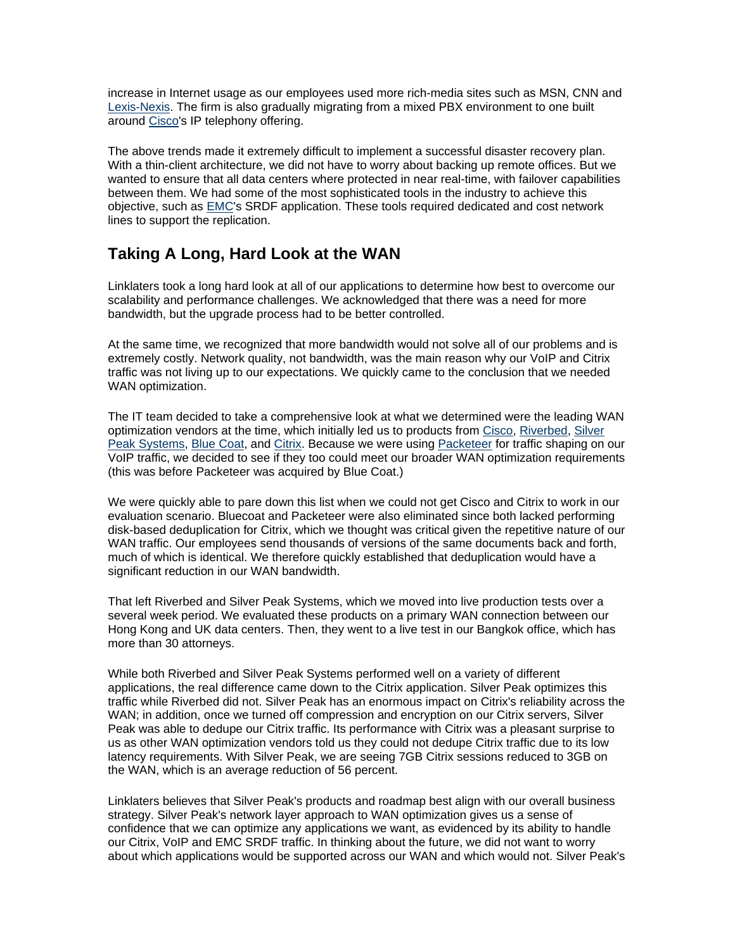increase in Internet usage as our employees used more rich-media sites such as MSN, CNN and Lexis-Nexis. The firm is also gradually migrating from a mixed PBX environment to one built around Cisco's IP telephony offering.

The above trends made it extremely difficult to implement a successful disaster recovery plan. With a thin-client architecture, we did not have to worry about backing up remote offices. But we wanted to ensure that all data centers where protected in near real-time, with failover capabilities between them. We had some of the most sophisticated tools in the industry to achieve this objective, such as EMC's SRDF application. These tools required dedicated and cost network lines to support the replication.

## **Taking A Long, Hard Look at the WAN**

Linklaters took a long hard look at all of our applications to determine how best to overcome our scalability and performance challenges. We acknowledged that there was a need for more bandwidth, but the upgrade process had to be better controlled.

At the same time, we recognized that more bandwidth would not solve all of our problems and is extremely costly. Network quality, not bandwidth, was the main reason why our VoIP and Citrix traffic was not living up to our expectations. We quickly came to the conclusion that we needed WAN optimization.

The IT team decided to take a comprehensive look at what we determined were the leading WAN optimization vendors at the time, which initially led us to products from Cisco, Riverbed, Silver Peak Systems, Blue Coat, and Citrix. Because we were using Packeteer for traffic shaping on our VoIP traffic, we decided to see if they too could meet our broader WAN optimization requirements (this was before Packeteer was acquired by Blue Coat.)

We were quickly able to pare down this list when we could not get Cisco and Citrix to work in our evaluation scenario. Bluecoat and Packeteer were also eliminated since both lacked performing disk-based deduplication for Citrix, which we thought was critical given the repetitive nature of our WAN traffic. Our employees send thousands of versions of the same documents back and forth, much of which is identical. We therefore quickly established that deduplication would have a significant reduction in our WAN bandwidth.

That left Riverbed and Silver Peak Systems, which we moved into live production tests over a several week period. We evaluated these products on a primary WAN connection between our Hong Kong and UK data centers. Then, they went to a live test in our Bangkok office, which has more than 30 attorneys.

While both Riverbed and Silver Peak Systems performed well on a variety of different applications, the real difference came down to the Citrix application. Silver Peak optimizes this traffic while Riverbed did not. Silver Peak has an enormous impact on Citrix's reliability across the WAN; in addition, once we turned off compression and encryption on our Citrix servers, Silver Peak was able to dedupe our Citrix traffic. Its performance with Citrix was a pleasant surprise to us as other WAN optimization vendors told us they could not dedupe Citrix traffic due to its low latency requirements. With Silver Peak, we are seeing 7GB Citrix sessions reduced to 3GB on the WAN, which is an average reduction of 56 percent.

Linklaters believes that Silver Peak's products and roadmap best align with our overall business strategy. Silver Peak's network layer approach to WAN optimization gives us a sense of confidence that we can optimize any applications we want, as evidenced by its ability to handle our Citrix, VoIP and EMC SRDF traffic. In thinking about the future, we did not want to worry about which applications would be supported across our WAN and which would not. Silver Peak's